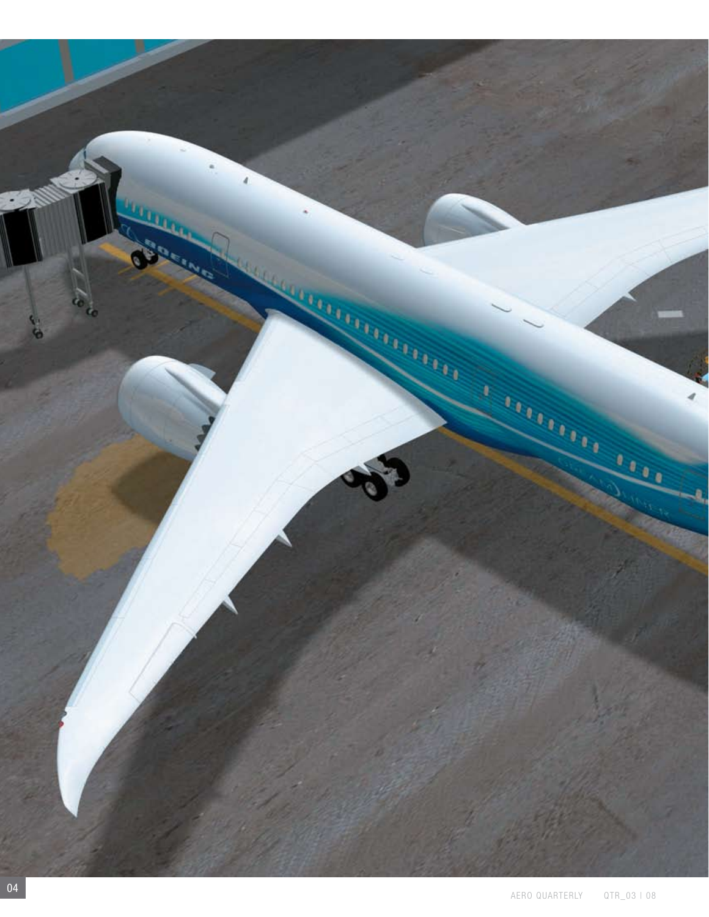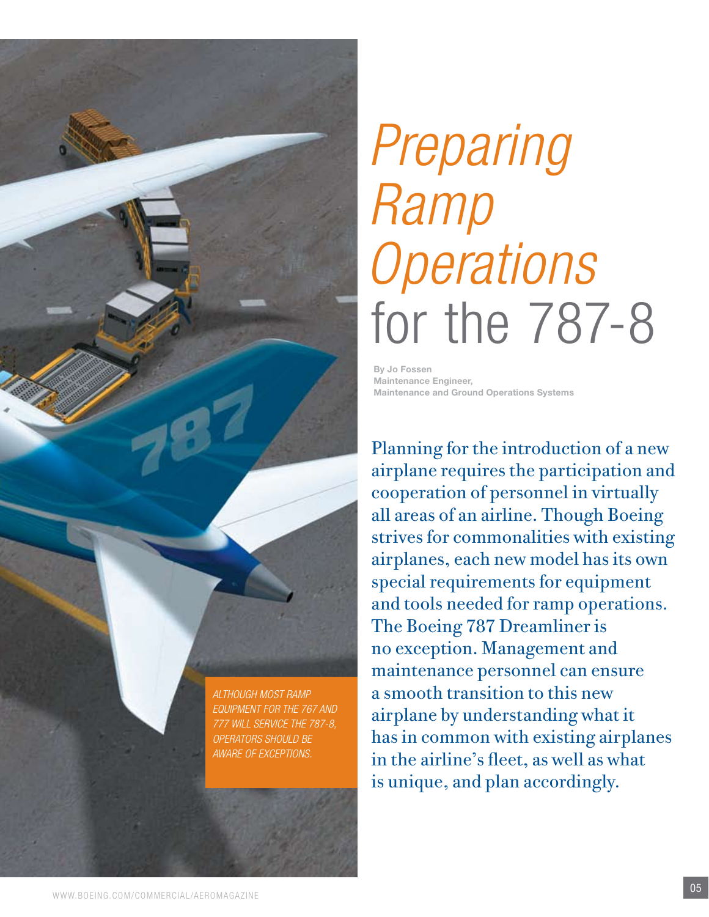

# **Preparing** *Ramp Operations* for the 787-8

By Jo Fossen Maintenance Engineer, Maintenance and Ground Operations Systems

Planning for the introduction of a new airplane requires the participation and cooperation of personnel in virtually all areas of an airline. Though Boeing strives for commonalities with existing airplanes, each new model has its own special requirements for equipment and tools needed for ramp operations. The Boeing 787 Dreamliner is no exception. Management and maintenance personnel can ensure a smooth transition to this new airplane by understanding what it has in common with existing airplanes in the airline's fleet, as well as what is unique, and plan accordingly.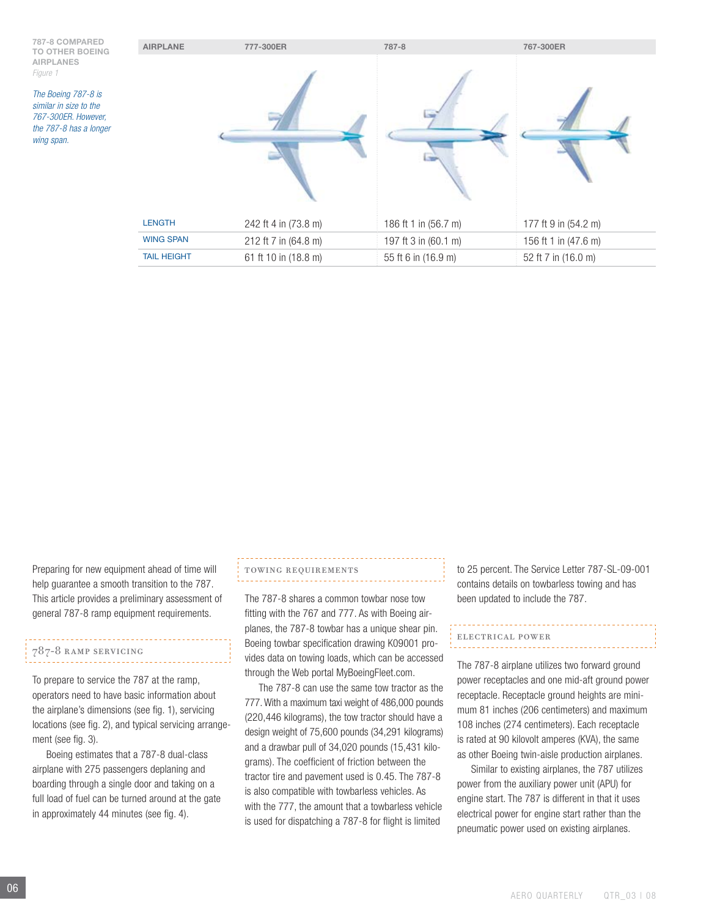

Preparing for new equipment ahead of time will help guarantee a smooth transition to the 787. This article provides a preliminary assessment of general 787-8 ramp equipment requirements.

#### 787-8 Ramp Servicing

To prepare to service the 787 at the ramp, operators need to have basic information about the airplane's dimensions (see fig. 1), servicing locations (see fig. 2), and typical servicing arrangement (see fig. 3).

Boeing estimates that a 787-8 dual-class airplane with 275 passengers deplaning and boarding through a single door and taking on a full load of fuel can be turned around at the gate in approximately 44 minutes (see fig. 4).

## Towing requirements

The 787-8 shares a common towbar nose tow fitting with the 767 and 777. As with Boeing airplanes, the 787-8 towbar has a unique shear pin. Boeing towbar specification drawing K09001 provides data on towing loads, which can be accessed through the Web portal MyBoeingFleet.com.

The 787-8 can use the same tow tractor as the 777. With a maximum taxi weight of 486,000 pounds (220,446 kilograms), the tow tractor should have a design weight of 75,600 pounds (34,291 kilograms) and a drawbar pull of 34,020 pounds (15,431 kilograms). The coefficient of friction between the tractor tire and pavement used is 0.45. The 787-8 is also compatible with towbarless vehicles. As with the 777, the amount that a towbarless vehicle is used for dispatching a 787-8 for flight is limited

to 25 percent. The Service Letter 787-SL-09-001 contains details on towbarless towing and has been updated to include the 787.

## Electrical power

The 787-8 airplane utilizes two forward ground power receptacles and one mid-aft ground power receptacle. Receptacle ground heights are minimum 81 inches (206 centimeters) and maximum 108 inches (274 centimeters). Each receptacle is rated at 90 kilovolt amperes (KVA), the same as other Boeing twin-aisle production airplanes.

Similar to existing airplanes, the 787 utilizes power from the auxiliary power unit (APU) for engine start. The 787 is different in that it uses electrical power for engine start rather than the pneumatic power used on existing airplanes.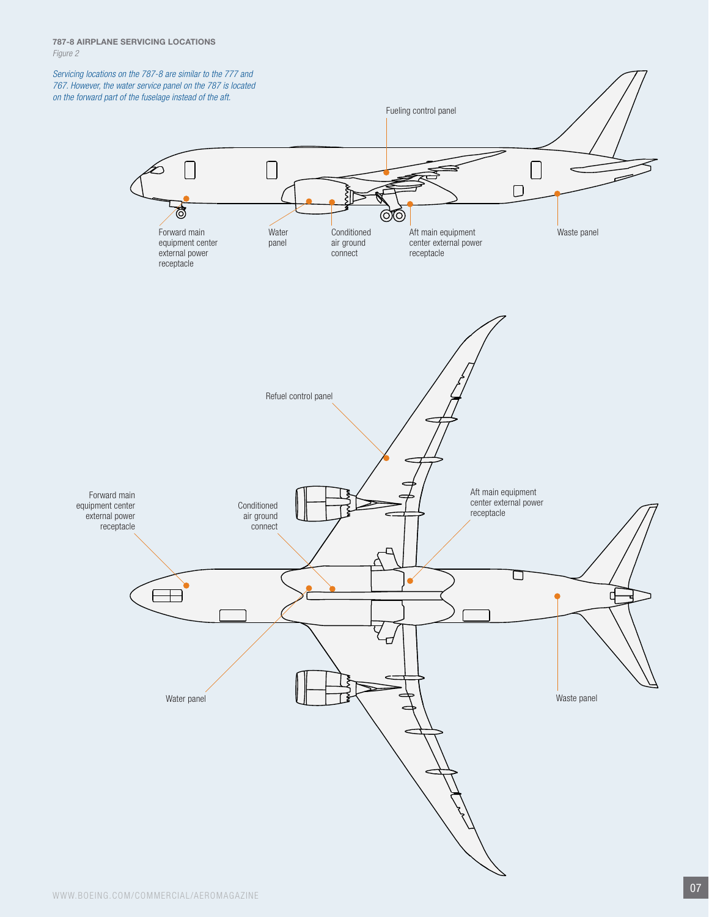*Servicing locations on the 787-8 are similar to the 777 and 767. However, the water service panel on the 787 is located on the forward part of the fuselage instead of the aft.*

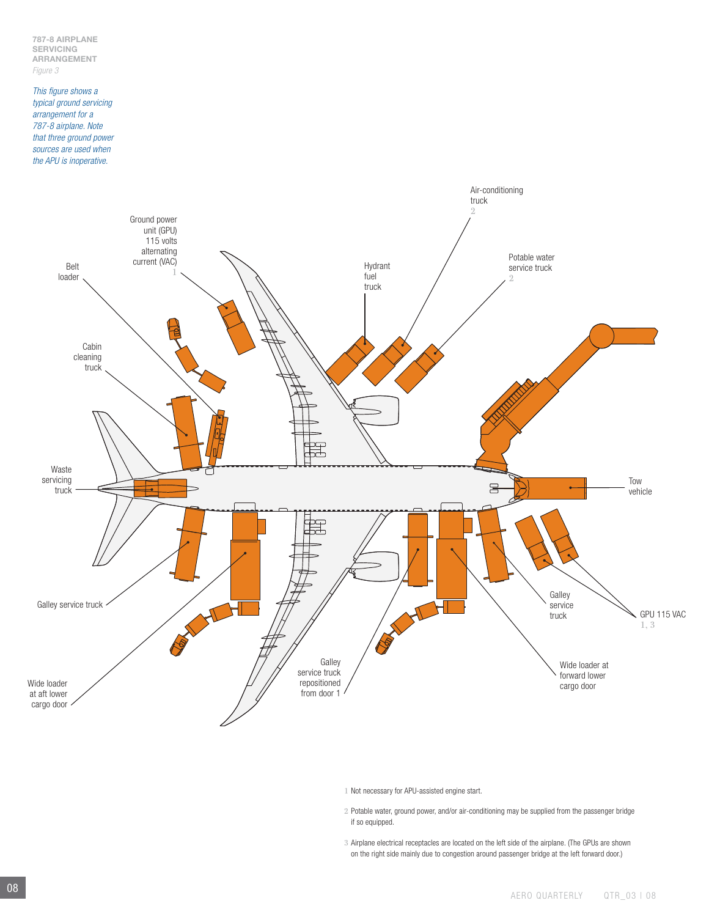787-8 AIRPLANE SERVICING ARRANGEMENT *Figure 3*

*This figure shows a typical ground servicing arrangement for a 787-8 airplane. Note that three ground power sources are used when the APU is inoperative.*



1 Not necessary for APU-assisted engine start.

- 2 Potable water, ground power, and/or air-conditioning may be supplied from the passenger bridge if so equipped.
- 3 Airplane electrical receptacles are located on the left side of the airplane. (The GPUs are shown on the right side mainly due to congestion around passenger bridge at the left forward door.)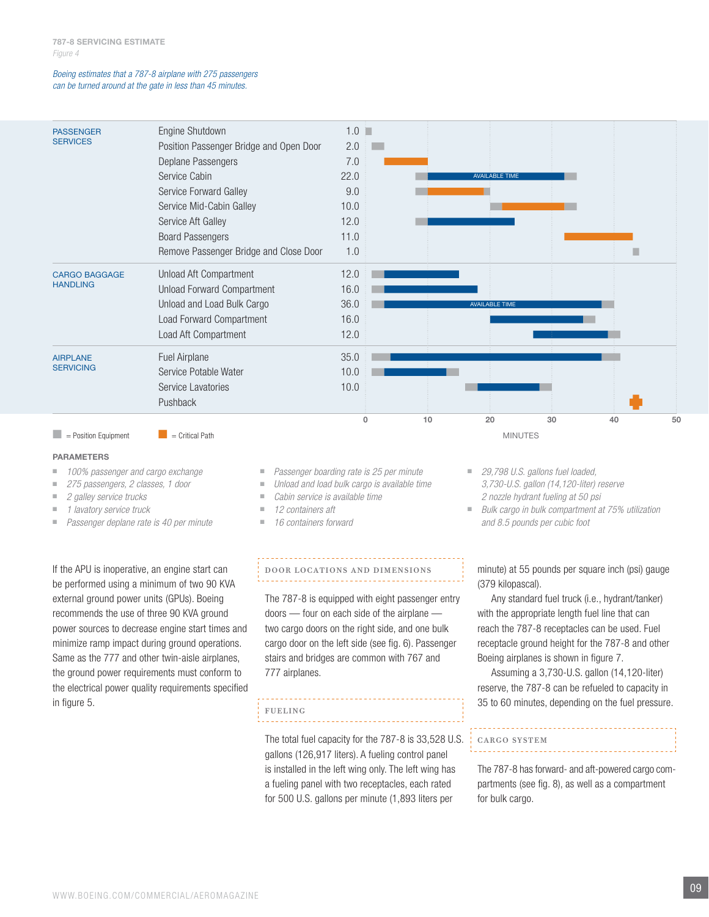#### *Boeing estimates that a 787-8 airplane with 275 passengers can be turned around at the gate in less than 45 minutes.*



#### **PARAMETERS**

- <sup>n</sup> *100% passenger and cargo exchange*
- <sup>n</sup> *275 passengers, 2 classes, 1 door*
- 2 galley service trucks
- <sup>n</sup> *1 lavatory service truck*
- <sup>n</sup> *Passenger deplane rate is 40 per minute*

If the APU is inoperative, an engine start can be performed using a minimum of two 90 KVA external ground power units (GPUs). Boeing recommends the use of three 90 KVA ground power sources to decrease engine start times and minimize ramp impact during ground operations. Same as the 777 and other twin-aisle airplanes, the ground power requirements must conform to the electrical power quality requirements specified in figure 5.

- *Passenger boarding rate is 25 per minute*
- Unload and load bulk cargo is available time
- *Cabin service is available time*
- 12 containers aft
- <sup>n</sup> *16 containers forward*

# Door locations and dimensions

The 787-8 is equipped with eight passenger entry doors — four on each side of the airplane two cargo doors on the right side, and one bulk cargo door on the left side (see fig. 6). Passenger stairs and bridges are common with 767 and 777 airplanes.

## Fueling

The total fuel capacity for the 787-8 is 33,528 U.S. gallons (126,917 liters). A fueling control panel is installed in the left wing only. The left wing has a fueling panel with two receptacles, each rated for 500 U.S. gallons per minute (1,893 liters per

- *29,798 U.S. gallons fuel loaded, 3,730-U.S. gallon (14,120-liter) reserve 2 nozzle hydrant fueling at 50 psi*
- Bulk cargo in bulk compartment at 75% utilization *and 8.5 pounds per cubic foot*

minute) at 55 pounds per square inch (psi) gauge (379 kilopascal).

Any standard fuel truck (i.e., hydrant/tanker) with the appropriate length fuel line that can reach the 787-8 receptacles can be used. Fuel receptacle ground height for the 787-8 and other Boeing airplanes is shown in figure 7.

Assuming a 3,730-U.S. gallon (14,120-liter) reserve, the 787-8 can be refueled to capacity in 35 to 60 minutes, depending on the fuel pressure.

### Cargo system

The 787-8 has forward- and aft-powered cargo compartments (see fig. 8), as well as a compartment for bulk cargo.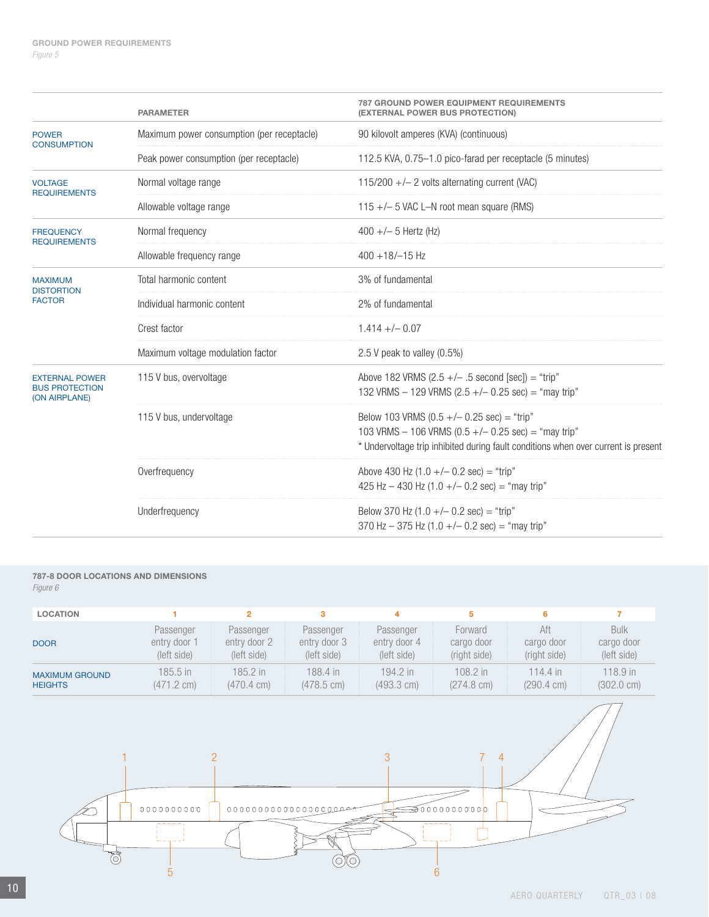|                                                                 | <b>PARAMETER</b>                           | <b>787 GROUND POWER EQUIPMENT REQUIREMENTS</b><br>(EXTERNAL POWER BUS PROTECTION)                                                                                                       |  |  |
|-----------------------------------------------------------------|--------------------------------------------|-----------------------------------------------------------------------------------------------------------------------------------------------------------------------------------------|--|--|
| <b>POWER</b><br><b>CONSUMPTION</b>                              | Maximum power consumption (per receptacle) | 90 kilovolt amperes (KVA) (continuous)                                                                                                                                                  |  |  |
|                                                                 | Peak power consumption (per receptacle)    | 112.5 KVA, 0.75–1.0 pico-farad per receptacle (5 minutes)                                                                                                                               |  |  |
| <b>VOLTAGE</b><br><b>REQUIREMENTS</b>                           | Normal voltage range                       | 115/200 $+/-$ 2 volts alternating current (VAC)                                                                                                                                         |  |  |
|                                                                 | Allowable voltage range                    | 115 $+/-$ 5 VAC L-N root mean square (RMS)                                                                                                                                              |  |  |
| <b>FREQUENCY</b><br><b>REQUIREMENTS</b>                         | Normal frequency                           | $400 +/- 5$ Hertz (Hz)                                                                                                                                                                  |  |  |
|                                                                 | Allowable frequency range                  | $400 + 18 / - 15$ Hz                                                                                                                                                                    |  |  |
| <b>MAXIMUM</b><br><b>DISTORTION</b><br><b>FACTOR</b>            | Total harmonic content                     | 3% of fundamental                                                                                                                                                                       |  |  |
|                                                                 | Individual harmonic content                | 2% of fundamental                                                                                                                                                                       |  |  |
|                                                                 | Crest factor                               | $1.414 + - 0.07$                                                                                                                                                                        |  |  |
|                                                                 | Maximum voltage modulation factor          | 2.5 V peak to valley $(0.5\%)$                                                                                                                                                          |  |  |
| <b>EXTERNAL POWER</b><br><b>BUS PROTECTION</b><br>(ON AIRPLANE) | 115 V bus, overvoltage                     | Above 182 VRMS $(2.5 +/- .5$ second [sec]) = "trip"<br>132 VRMS - 129 VRMS (2.5 +/- 0.25 sec) = "may trip"                                                                              |  |  |
|                                                                 | 115 V bus, undervoltage                    | Below 103 VRMS (0.5 +/- 0.25 sec) = "trip"<br>103 VRMS - 106 VRMS (0.5 +/- 0.25 sec) = "may trip"<br>* Undervoltage trip inhibited during fault conditions when over current is present |  |  |
|                                                                 | Overfrequency                              | Above 430 Hz $(1.0 +/- 0.2 \text{ sec}) =$ "trip"<br>425 Hz $-$ 430 Hz (1.0 +/- 0.2 sec) = "may trip"                                                                                   |  |  |
|                                                                 | Underfrequency                             | Below 370 Hz $(1.0 +/- 0.2 \text{ sec}) =$ "trip"<br>370 Hz - 375 Hz (1.0 +/- 0.2 sec) = "may trip"                                                                                     |  |  |

#### 787-8 DOOR LOCATIONS AND DIMENSIONS *Figure 6*

| <b>LOCATION</b>       |                      |              |                      |                      |                      |                      |                      |
|-----------------------|----------------------|--------------|----------------------|----------------------|----------------------|----------------------|----------------------|
| <b>DOOR</b>           | Passenger            | Passenger    | Passenger            | Passenger            | Forward              | Aft                  | <b>Bulk</b>          |
|                       | entry door 1         | entry door 2 | entry door 3         | entry door 4         | cargo door           | cargo door           | cargo door           |
|                       | (left side)          | (left side)  | (left side)          | (left side)          | (right side)         | (right side)         | (left side)          |
| <b>MAXIMUM GROUND</b> | 185.5 in             | 185.2 in     | 188.4 in             | 194.2 in             | 108.2 in             | 114.4 in             | 118.9 in             |
| <b>HEIGHTS</b>        | $(471.2 \text{ cm})$ | (470.4 cm)   | $(478.5 \text{ cm})$ | $(493.3 \text{ cm})$ | $(274.8 \text{ cm})$ | $(290.4 \text{ cm})$ | $(302.0 \text{ cm})$ |

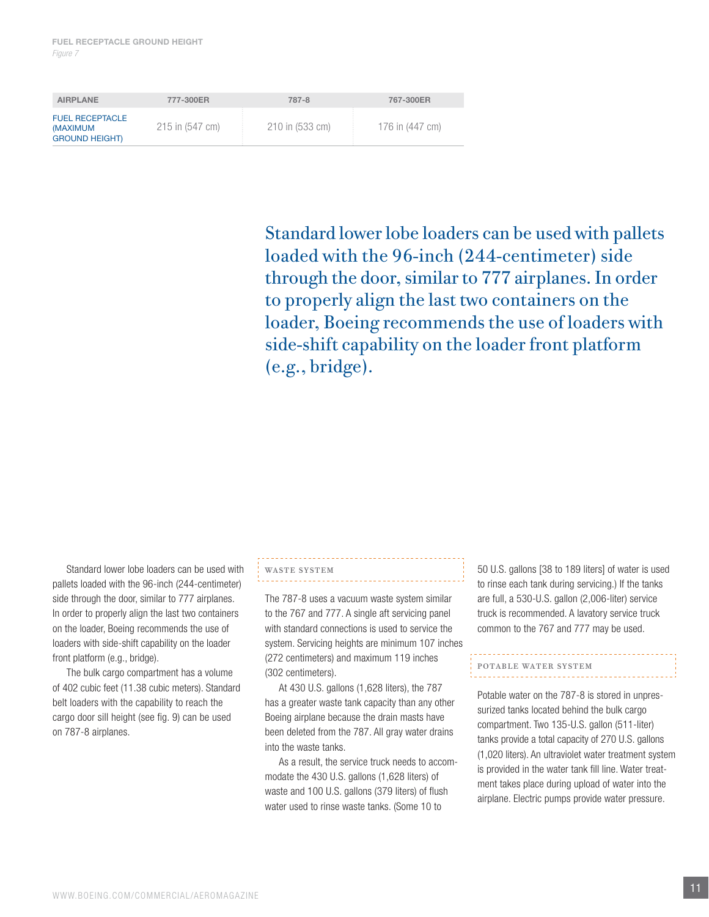| <b>AIRPLANE</b>                                                  | 777-300ER         | 787-8             | 767-300ER       |
|------------------------------------------------------------------|-------------------|-------------------|-----------------|
| <b>FUEL RECEPTACLE</b><br><b>MAXIMUM</b><br><b>GROUND HEIGHT</b> | $215$ in (547 cm) | $210$ in (533 cm) | 176 in (447 cm) |

Standard lower lobe loaders can be used with pallets loaded with the 96-inch (244-centimeter) side through the door, similar to 777 airplanes. In order to properly align the last two containers on the loader, Boeing recommends the use of loaders with side-shift capability on the loader front platform (e.g., bridge).

Standard lower lobe loaders can be used with pallets loaded with the 96-inch (244-centimeter) side through the door, similar to 777 airplanes. In order to properly align the last two containers on the loader, Boeing recommends the use of loaders with side-shift capability on the loader front platform (e.g., bridge).

The bulk cargo compartment has a volume of 402 cubic feet (11.38 cubic meters). Standard belt loaders with the capability to reach the cargo door sill height (see fig. 9) can be used on 787-8 airplanes.

WASTE system

The 787-8 uses a vacuum waste system similar to the 767 and 777. A single aft servicing panel with standard connections is used to service the system. Servicing heights are minimum 107 inches (272 centimeters) and maximum 119 inches (302 centimeters).

At 430 U.S. gallons (1,628 liters), the 787 has a greater waste tank capacity than any other Boeing airplane because the drain masts have been deleted from the 787. All gray water drains into the waste tanks.

As a result, the service truck needs to accommodate the 430 U.S. gallons (1,628 liters) of waste and 100 U.S. gallons (379 liters) of flush water used to rinse waste tanks. (Some 10 to

50 U.S. gallons [38 to 189 liters] of water is used to rinse each tank during servicing.) If the tanks are full, a 530-U.S. gallon (2,006-liter) service truck is recommended. A lavatory service truck common to the 767 and 777 may be used.

#### Potable water system ---------------------

Potable water on the 787-8 is stored in unpressurized tanks located behind the bulk cargo compartment. Two 135-U.S. gallon (511-liter) tanks provide a total capacity of 270 U.S. gallons (1,020 liters). An ultraviolet water treatment system is provided in the water tank fill line. Water treatment takes place during upload of water into the airplane. Electric pumps provide water pressure.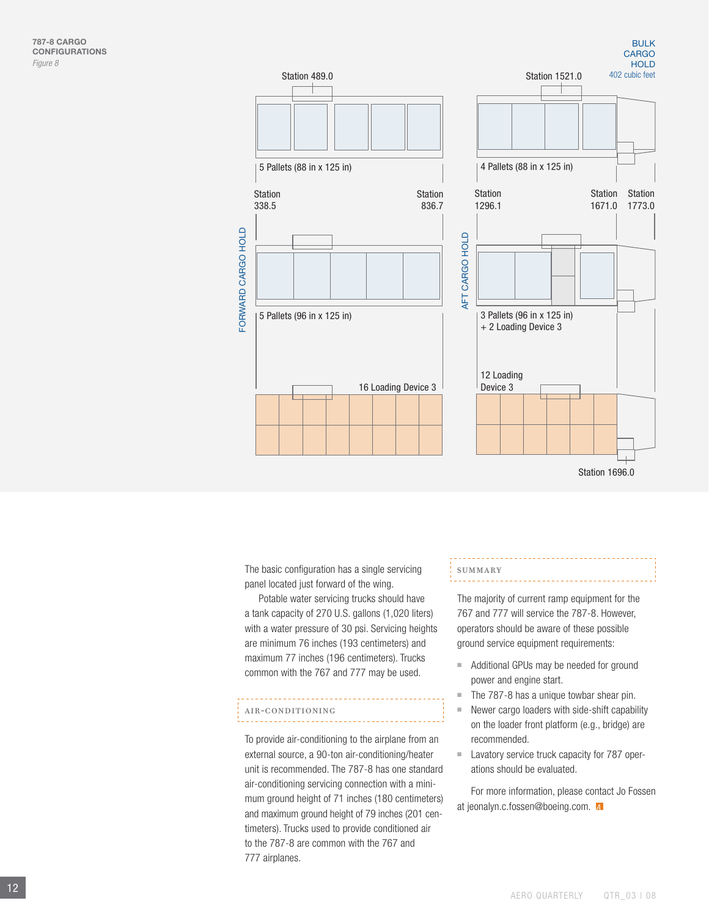**HOLD** 402 cubic feet Station 489.0 Station 1521.0 5 Pallets (88 in x 125 in) 4 Pallets (88 in x 125 in) Station Station Station Station Station 338.5 836.7 1296.1 1671.0 1773.0 FORWARD CARGO HOLD FORWARD CARGO HOLD CARGO HOLD AFT CARGO HOLD AFT. 3 Pallets (96 in x 125 in) 5 Pallets (96 in x 125 in) + 2 Loading Device 3 12 Loading 16 Loading Device 3 Device 3

Station 1696.0

BULK **CARGO** 

The basic configuration has a single servicing panel located just forward of the wing.

Potable water servicing trucks should have a tank capacity of 270 U.S. gallons (1,020 liters) with a water pressure of 30 psi. Servicing heights are minimum 76 inches (193 centimeters) and maximum 77 inches (196 centimeters). Trucks common with the 767 and 777 may be used.

## Air-conditioning

To provide air-conditioning to the airplane from an external source, a 90-ton air-conditioning/heater unit is recommended. The 787-8 has one standard air-conditioning servicing connection with a minimum ground height of 71 inches (180 centimeters) and maximum ground height of 79 inches (201 centimeters). Trucks used to provide conditioned air to the 787-8 are common with the 767 and 777 airplanes.

## **SUMMARY**

The majority of current ramp equipment for the 767 and 777 will service the 787-8. However, operators should be aware of these possible ground service equipment requirements:

- $\blacksquare$  Additional GPUs may be needed for ground power and engine start.
- $\blacksquare$  The 787-8 has a unique towbar shear pin.
- $\blacksquare$  Newer cargo loaders with side-shift capability on the loader front platform (e.g., bridge) are recommended.
- $\blacksquare$  Lavatory service truck capacity for 787 operations should be evaluated.

For more information, please contact Jo Fossen at jeonalyn.c.fossen@boeing.com. 4